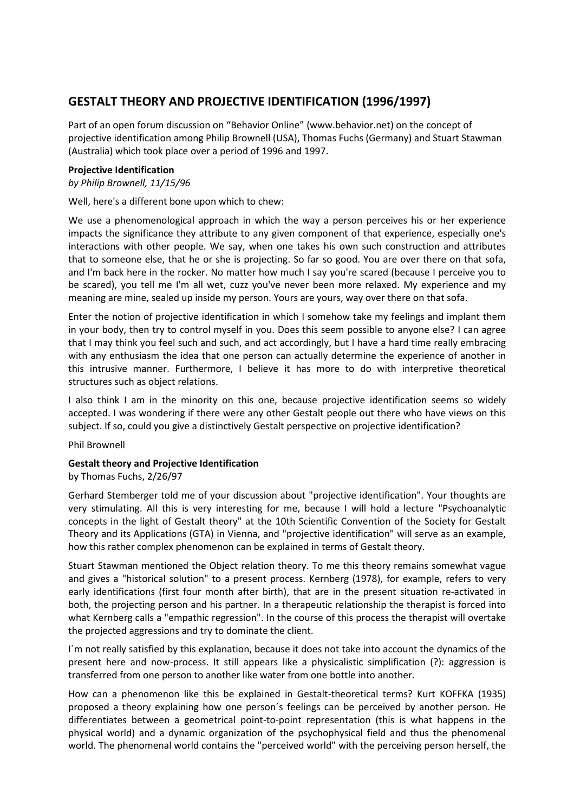## **GESTALT THEORY AND PROJECTIVE IDENTIFICATION (1996/1997)**

Part of an open forum discussion on "Behavior Online" (www.behavior.net) on the concept of projective identification among Philip Brownell (USA), Thomas Fuchs (Germany) and Stuart Stawman (Australia) which took place over a period of 1996 and 1997.

## **Projective Identification**

*by Philip Brownell, 11/15/96*

Well, here's a different bone upon which to chew:

We use a phenomenological approach in which the way a person perceives his or her experience impacts the significance they attribute to any given component of that experience, especially one's interactions with other people. We say, when one takes his own such construction and attributes that to someone else, that he or she is projecting. So far so good. You are over there on that sofa, and I'm back here in the rocker. No matter how much I say you're scared (because I perceive you to be scared), you tell me I'm all wet, cuzz you've never been more relaxed. My experience and my meaning are mine, sealed up inside my person. Yours are yours, way over there on that sofa.

Enter the notion of projective identification in which I somehow take my feelings and implant them in your body, then try to control myself in you. Does this seem possible to anyone else? I can agree that I may think you feel such and such, and act accordingly, but I have a hard time really embracing with any enthusiasm the idea that one person can actually determine the experience of another in this intrusive manner. Furthermore, I believe it has more to do with interpretive theoretical structures such as object relations.

I also think I am in the minority on this one, because projective identification seems so widely accepted. I was wondering if there were any other Gestalt people out there who have views on this subject. If so, could you give a distinctively Gestalt perspective on projective identification?

Phil Brownell

## **Gestalt theory and Projective Identification**

by Thomas Fuchs, 2/26/97

Gerhard Stemberger told me of your discussion about "projective identification". Your thoughts are very stimulating. All this is very interesting for me, because I will hold a lecture "Psychoanalytic concepts in the light of Gestalt theory" at the 10th Scientific Convention of the Society for Gestalt Theory and its Applications (GTA) in Vienna, and "projective identification" will serve as an example, how this rather complex phenomenon can be explained in terms of Gestalt theory.

Stuart Stawman mentioned the Object relation theory. To me this theory remains somewhat vague and gives a "historical solution" to a present process. Kernberg (1978), for example, refers to very early identifications (first four month after birth), that are in the present situation re-activated in both, the projecting person and his partner. In a therapeutic relationship the therapist is forced into what Kernberg calls a "empathic regression". In the course of this process the therapist will overtake the projected aggressions and try to dominate the client.

I´m not really satisfied by this explanation, because it does not take into account the dynamics of the present here and now-process. It still appears like a physicalistic simplification (?): aggression is transferred from one person to another like water from one bottle into another.

How can a phenomenon like this be explained in Gestalt-theoretical terms? Kurt KOFFKA (1935) proposed a theory explaining how one person´s feelings can be perceived by another person. He differentiates between a geometrical point-to-point representation (this is what happens in the physical world) and a dynamic organization of the psychophysical field and thus the phenomenal world. The phenomenal world contains the "perceived world" with the perceiving person herself, the